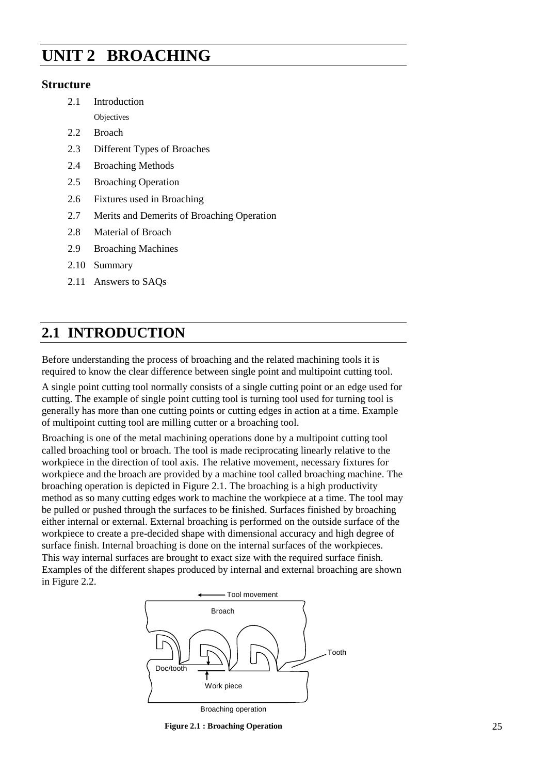# **Broaching UNIT 2 BROACHING**

### **Structure**

- 2.1 Introduction Objectives
- 2.2 Broach
- 2.3 Different Types of Broaches
- 2.4 Broaching Methods
- 2.5 Broaching Operation
- 2.6 Fixtures used in Broaching
- 2.7 Merits and Demerits of Broaching Operation
- 2.8 Material of Broach
- 2.9 Broaching Machines
- 2.10 Summary
- 2.11 Answers to SAQs

## **2.1 INTRODUCTION**

Before understanding the process of broaching and the related machining tools it is required to know the clear difference between single point and multipoint cutting tool.

A single point cutting tool normally consists of a single cutting point or an edge used for cutting. The example of single point cutting tool is turning tool used for turning tool is generally has more than one cutting points or cutting edges in action at a time. Example of multipoint cutting tool are milling cutter or a broaching tool.

Broaching is one of the metal machining operations done by a multipoint cutting tool called broaching tool or broach. The tool is made reciprocating linearly relative to the workpiece in the direction of tool axis. The relative movement, necessary fixtures for workpiece and the broach are provided by a machine tool called broaching machine. The broaching operation is depicted in Figure 2.1. The broaching is a high productivity method as so many cutting edges work to machine the workpiece at a time. The tool may be pulled or pushed through the surfaces to be finished. Surfaces finished by broaching either internal or external. External broaching is performed on the outside surface of the workpiece to create a pre-decided shape with dimensional accuracy and high degree of surface finish. Internal broaching is done on the internal surfaces of the workpieces. This way internal surfaces are brought to exact size with the required surface finish. Examples of the different shapes produced by internal and external broaching are shown in Figure 2.2.



**Figure 2.1 : Broaching Operation**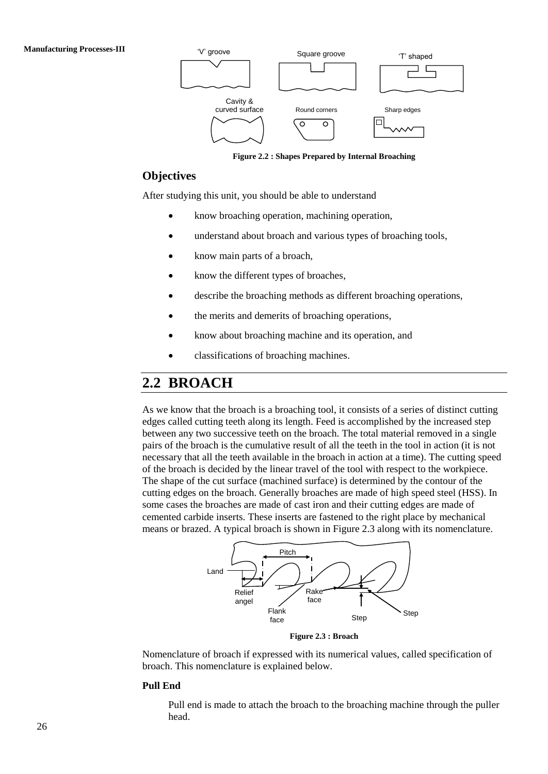

**Figure 2.2 : Shapes Prepared by Internal Broaching**

### **Objectives**

After studying this unit, you should be able to understand

- know broaching operation, machining operation,
- understand about broach and various types of broaching tools,
- know main parts of a broach,
- know the different types of broaches,
- describe the broaching methods as different broaching operations,
- the merits and demerits of broaching operations,
- know about broaching machine and its operation, and
- classifications of broaching machines.

### **2.2 BROACH**

As we know that the broach is a broaching tool, it consists of a series of distinct cutting edges called cutting teeth along its length. Feed is accomplished by the increased step between any two successive teeth on the broach. The total material removed in a single pairs of the broach is the cumulative result of all the teeth in the tool in action (it is not necessary that all the teeth available in the broach in action at a time). The cutting speed of the broach is decided by the linear travel of the tool with respect to the workpiece. The shape of the cut surface (machined surface) is determined by the contour of the cutting edges on the broach. Generally broaches are made of high speed steel (HSS). In some cases the broaches are made of cast iron and their cutting edges are made of cemented carbide inserts. These inserts are fastened to the right place by mechanical means or brazed. A typical broach is shown in Figure 2.3 along with its nomenclature.



**Figure 2.3 : Broach**

Nomenclature of broach if expressed with its numerical values, called specification of broach. This nomenclature is explained below.

#### **Pull End**

Pull end is made to attach the broach to the broaching machine through the puller head.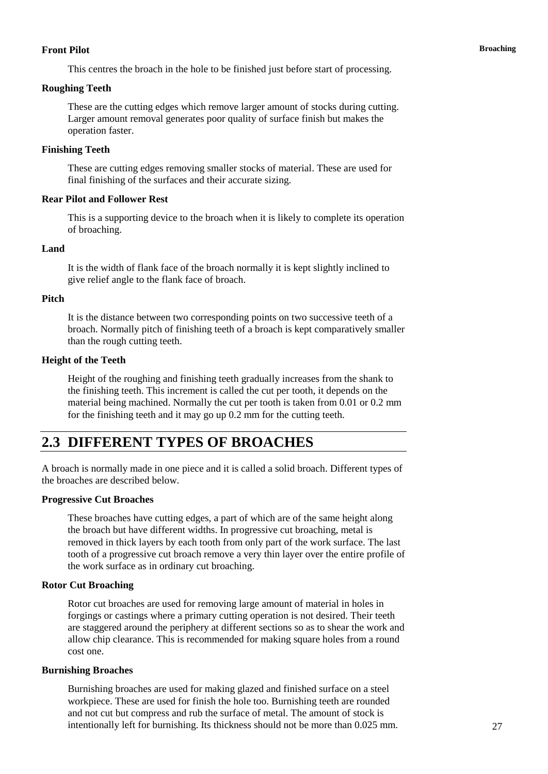#### **Front Pilot Broaching**

This centres the broach in the hole to be finished just before start of processing.

#### **Roughing Teeth**

These are the cutting edges which remove larger amount of stocks during cutting. Larger amount removal generates poor quality of surface finish but makes the operation faster.

#### **Finishing Teeth**

These are cutting edges removing smaller stocks of material. These are used for final finishing of the surfaces and their accurate sizing.

#### **Rear Pilot and Follower Rest**

This is a supporting device to the broach when it is likely to complete its operation of broaching.

#### **Land**

It is the width of flank face of the broach normally it is kept slightly inclined to give relief angle to the flank face of broach.

#### **Pitch**

It is the distance between two corresponding points on two successive teeth of a broach. Normally pitch of finishing teeth of a broach is kept comparatively smaller than the rough cutting teeth.

#### **Height of the Teeth**

Height of the roughing and finishing teeth gradually increases from the shank to the finishing teeth. This increment is called the cut per tooth, it depends on the material being machined. Normally the cut per tooth is taken from 0.01 or 0.2 mm for the finishing teeth and it may go up 0.2 mm for the cutting teeth.

### **2.3 DIFFERENT TYPES OF BROACHES**

A broach is normally made in one piece and it is called a solid broach. Different types of the broaches are described below.

#### **Progressive Cut Broaches**

These broaches have cutting edges, a part of which are of the same height along the broach but have different widths. In progressive cut broaching, metal is removed in thick layers by each tooth from only part of the work surface. The last tooth of a progressive cut broach remove a very thin layer over the entire profile of the work surface as in ordinary cut broaching.

#### **Rotor Cut Broaching**

Rotor cut broaches are used for removing large amount of material in holes in forgings or castings where a primary cutting operation is not desired. Their teeth are staggered around the periphery at different sections so as to shear the work and allow chip clearance. This is recommended for making square holes from a round cost one.

#### **Burnishing Broaches**

Burnishing broaches are used for making glazed and finished surface on a steel workpiece. These are used for finish the hole too. Burnishing teeth are rounded and not cut but compress and rub the surface of metal. The amount of stock is intentionally left for burnishing. Its thickness should not be more than 0.025 mm.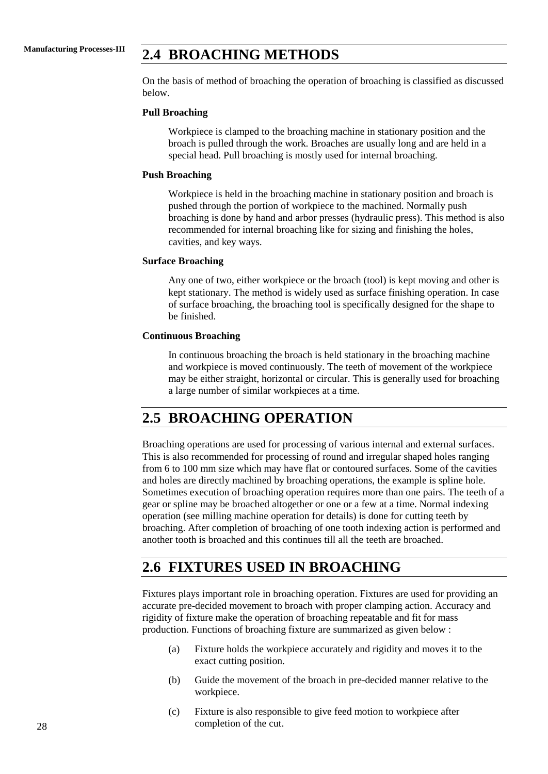## **Manufacturing Processes-III 2.4 BROACHING METHODS**

On the basis of method of broaching the operation of broaching is classified as discussed below.

#### **Pull Broaching**

Workpiece is clamped to the broaching machine in stationary position and the broach is pulled through the work. Broaches are usually long and are held in a special head. Pull broaching is mostly used for internal broaching.

#### **Push Broaching**

Workpiece is held in the broaching machine in stationary position and broach is pushed through the portion of workpiece to the machined. Normally push broaching is done by hand and arbor presses (hydraulic press). This method is also recommended for internal broaching like for sizing and finishing the holes, cavities, and key ways.

#### **Surface Broaching**

Any one of two, either workpiece or the broach (tool) is kept moving and other is kept stationary. The method is widely used as surface finishing operation. In case of surface broaching, the broaching tool is specifically designed for the shape to be finished.

#### **Continuous Broaching**

In continuous broaching the broach is held stationary in the broaching machine and workpiece is moved continuously. The teeth of movement of the workpiece may be either straight, horizontal or circular. This is generally used for broaching a large number of similar workpieces at a time.

### **2.5 BROACHING OPERATION**

Broaching operations are used for processing of various internal and external surfaces. This is also recommended for processing of round and irregular shaped holes ranging from 6 to 100 mm size which may have flat or contoured surfaces. Some of the cavities and holes are directly machined by broaching operations, the example is spline hole. Sometimes execution of broaching operation requires more than one pairs. The teeth of a gear or spline may be broached altogether or one or a few at a time. Normal indexing operation (see milling machine operation for details) is done for cutting teeth by broaching. After completion of broaching of one tooth indexing action is performed and another tooth is broached and this continues till all the teeth are broached.

## **2.6 FIXTURES USED IN BROACHING**

Fixtures plays important role in broaching operation. Fixtures are used for providing an accurate pre-decided movement to broach with proper clamping action. Accuracy and rigidity of fixture make the operation of broaching repeatable and fit for mass production. Functions of broaching fixture are summarized as given below :

- (a) Fixture holds the workpiece accurately and rigidity and moves it to the exact cutting position.
- (b) Guide the movement of the broach in pre-decided manner relative to the workpiece.
- (c) Fixture is also responsible to give feed motion to workpiece after completion of the cut.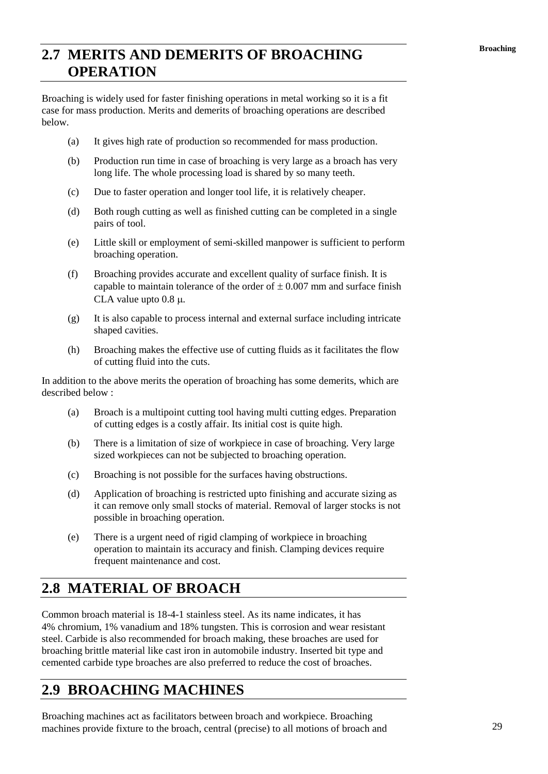## **Broaching 2.7 MERITS AND DEMERITS OF BROACHING OPERATION**

Broaching is widely used for faster finishing operations in metal working so it is a fit case for mass production. Merits and demerits of broaching operations are described below.

- (a) It gives high rate of production so recommended for mass production.
- (b) Production run time in case of broaching is very large as a broach has very long life. The whole processing load is shared by so many teeth.
- (c) Due to faster operation and longer tool life, it is relatively cheaper.
- (d) Both rough cutting as well as finished cutting can be completed in a single pairs of tool.
- (e) Little skill or employment of semi-skilled manpower is sufficient to perform broaching operation.
- (f) Broaching provides accurate and excellent quality of surface finish. It is capable to maintain tolerance of the order of  $\pm$  0.007 mm and surface finish CLA value upto  $0.8 \mu$ .
- (g) It is also capable to process internal and external surface including intricate shaped cavities.
- (h) Broaching makes the effective use of cutting fluids as it facilitates the flow of cutting fluid into the cuts.

In addition to the above merits the operation of broaching has some demerits, which are described below :

- (a) Broach is a multipoint cutting tool having multi cutting edges. Preparation of cutting edges is a costly affair. Its initial cost is quite high.
- (b) There is a limitation of size of workpiece in case of broaching. Very large sized workpieces can not be subjected to broaching operation.
- (c) Broaching is not possible for the surfaces having obstructions.
- (d) Application of broaching is restricted upto finishing and accurate sizing as it can remove only small stocks of material. Removal of larger stocks is not possible in broaching operation.
- (e) There is a urgent need of rigid clamping of workpiece in broaching operation to maintain its accuracy and finish. Clamping devices require frequent maintenance and cost.

# **2.8 MATERIAL OF BROACH**

Common broach material is 18-4-1 stainless steel. As its name indicates, it has 4% chromium, 1% vanadium and 18% tungsten. This is corrosion and wear resistant steel. Carbide is also recommended for broach making, these broaches are used for broaching brittle material like cast iron in automobile industry. Inserted bit type and cemented carbide type broaches are also preferred to reduce the cost of broaches.

# **2.9 BROACHING MACHINES**

Broaching machines act as facilitators between broach and workpiece. Broaching machines provide fixture to the broach, central (precise) to all motions of broach and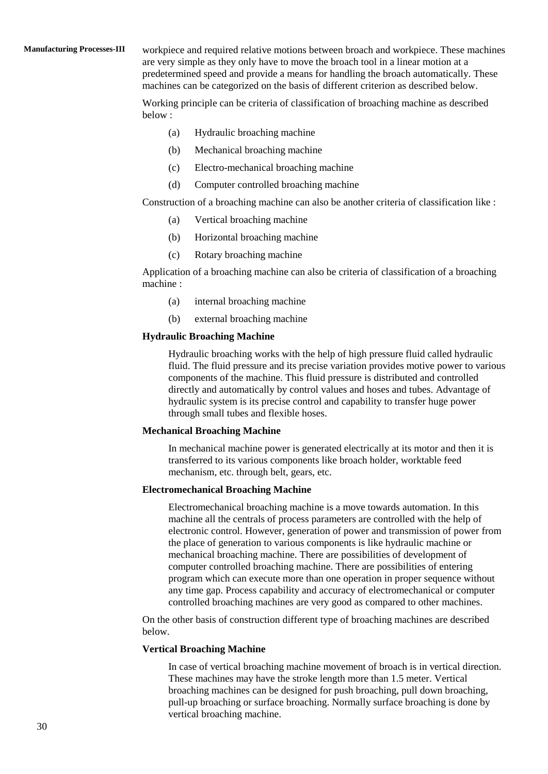**Manufacturing Processes-III** workpiece and required relative motions between broach and workpiece. These machines are very simple as they only have to move the broach tool in a linear motion at a predetermined speed and provide a means for handling the broach automatically. These machines can be categorized on the basis of different criterion as described below.

> Working principle can be criteria of classification of broaching machine as described below :

- (a) Hydraulic broaching machine
- (b) Mechanical broaching machine
- (c) Electro-mechanical broaching machine
- (d) Computer controlled broaching machine

Construction of a broaching machine can also be another criteria of classification like :

- (a) Vertical broaching machine
- (b) Horizontal broaching machine
- (c) Rotary broaching machine

Application of a broaching machine can also be criteria of classification of a broaching machine :

- (a) internal broaching machine
- (b) external broaching machine

#### **Hydraulic Broaching Machine**

Hydraulic broaching works with the help of high pressure fluid called hydraulic fluid. The fluid pressure and its precise variation provides motive power to various components of the machine. This fluid pressure is distributed and controlled directly and automatically by control values and hoses and tubes. Advantage of hydraulic system is its precise control and capability to transfer huge power through small tubes and flexible hoses.

#### **Mechanical Broaching Machine**

In mechanical machine power is generated electrically at its motor and then it is transferred to its various components like broach holder, worktable feed mechanism, etc. through belt, gears, etc.

#### **Electromechanical Broaching Machine**

Electromechanical broaching machine is a move towards automation. In this machine all the centrals of process parameters are controlled with the help of electronic control. However, generation of power and transmission of power from the place of generation to various components is like hydraulic machine or mechanical broaching machine. There are possibilities of development of computer controlled broaching machine. There are possibilities of entering program which can execute more than one operation in proper sequence without any time gap. Process capability and accuracy of electromechanical or computer controlled broaching machines are very good as compared to other machines.

On the other basis of construction different type of broaching machines are described below.

#### **Vertical Broaching Machine**

In case of vertical broaching machine movement of broach is in vertical direction. These machines may have the stroke length more than 1.5 meter. Vertical broaching machines can be designed for push broaching, pull down broaching, pull-up broaching or surface broaching. Normally surface broaching is done by vertical broaching machine.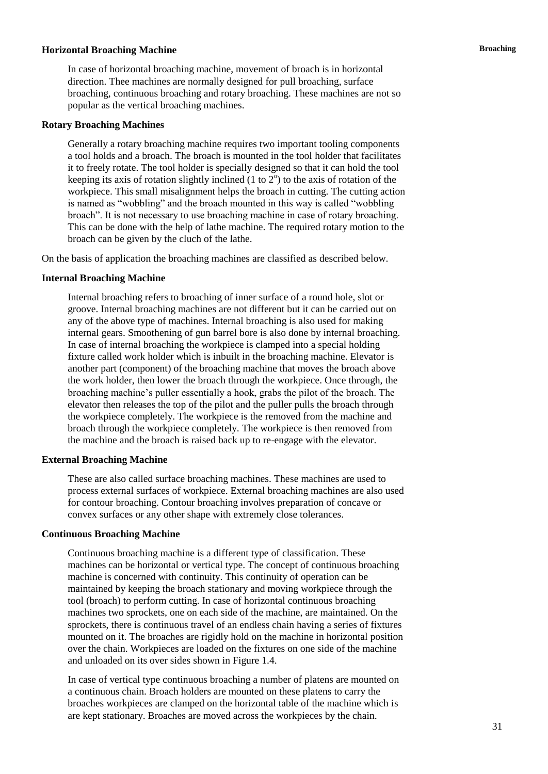#### **Horizontal Broaching Machine Broaching**

In case of horizontal broaching machine, movement of broach is in horizontal direction. Thee machines are normally designed for pull broaching, surface broaching, continuous broaching and rotary broaching. These machines are not so popular as the vertical broaching machines.

#### **Rotary Broaching Machines**

Generally a rotary broaching machine requires two important tooling components a tool holds and a broach. The broach is mounted in the tool holder that facilitates it to freely rotate. The tool holder is specially designed so that it can hold the tool keeping its axis of rotation slightly inclined  $(1 \text{ to } 2^{\degree})$  to the axis of rotation of the workpiece. This small misalignment helps the broach in cutting. The cutting action is named as "wobbling" and the broach mounted in this way is called "wobbling broach". It is not necessary to use broaching machine in case of rotary broaching. This can be done with the help of lathe machine. The required rotary motion to the broach can be given by the cluch of the lathe.

On the basis of application the broaching machines are classified as described below.

#### **Internal Broaching Machine**

Internal broaching refers to broaching of inner surface of a round hole, slot or groove. Internal broaching machines are not different but it can be carried out on any of the above type of machines. Internal broaching is also used for making internal gears. Smoothening of gun barrel bore is also done by internal broaching. In case of internal broaching the workpiece is clamped into a special holding fixture called work holder which is inbuilt in the broaching machine. Elevator is another part (component) of the broaching machine that moves the broach above the work holder, then lower the broach through the workpiece. Once through, the broaching machine's puller essentially a hook, grabs the pilot of the broach. The elevator then releases the top of the pilot and the puller pulls the broach through the workpiece completely. The workpiece is the removed from the machine and broach through the workpiece completely. The workpiece is then removed from the machine and the broach is raised back up to re-engage with the elevator.

#### **External Broaching Machine**

These are also called surface broaching machines. These machines are used to process external surfaces of workpiece. External broaching machines are also used for contour broaching. Contour broaching involves preparation of concave or convex surfaces or any other shape with extremely close tolerances.

#### **Continuous Broaching Machine**

Continuous broaching machine is a different type of classification. These machines can be horizontal or vertical type. The concept of continuous broaching machine is concerned with continuity. This continuity of operation can be maintained by keeping the broach stationary and moving workpiece through the tool (broach) to perform cutting. In case of horizontal continuous broaching machines two sprockets, one on each side of the machine, are maintained. On the sprockets, there is continuous travel of an endless chain having a series of fixtures mounted on it. The broaches are rigidly hold on the machine in horizontal position over the chain. Workpieces are loaded on the fixtures on one side of the machine and unloaded on its over sides shown in Figure 1.4.

In case of vertical type continuous broaching a number of platens are mounted on a continuous chain. Broach holders are mounted on these platens to carry the broaches workpieces are clamped on the horizontal table of the machine which is are kept stationary. Broaches are moved across the workpieces by the chain.